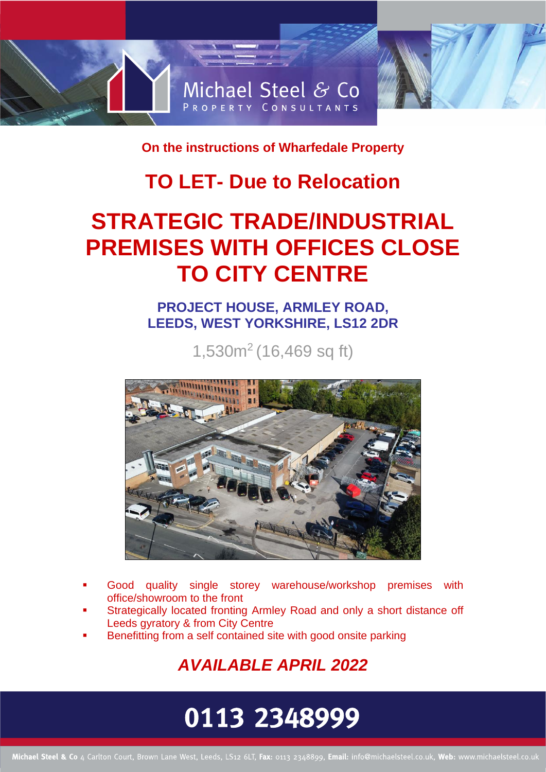

**On the instructions of Wharfedale Property**

### **TO LET- Due to Relocation**

## **STRATEGIC TRADE/INDUSTRIAL PREMISES WITH OFFICES CLOSE TO CITY CENTRE**

### **PROJECT HOUSE, ARMLEY ROAD, LEEDS, WEST YORKSHIRE, LS12 2DR**

1,530m<sup>2</sup> (16,469 sq ft)



- Good quality single storey warehouse/workshop premises with office/showroom to the front
- Strategically located fronting Armley Road and only a short distance off Leeds gyratory & from City Centre
- Benefitting from a self contained site with good onsite parking

*AVAILABLE APRIL 2022*

# 0113 2348999

Michael Steel & Co 4 Carlton Court, Brown Lane West, Leeds, LS12 6LT, Fax: 0113 2348899, Email: info@michaelsteel.co.uk, Web: www.michaelsteel.co.uk